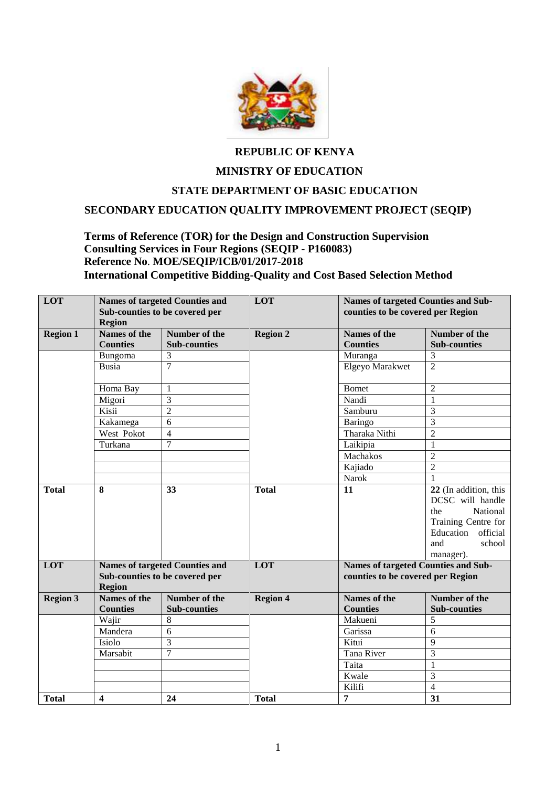

## **REPUBLIC OF KENYA**

## **MINISTRY OF EDUCATION**

#### **STATE DEPARTMENT OF BASIC EDUCATION**

#### **SECONDARY EDUCATION QUALITY IMPROVEMENT PROJECT (SEQIP)**

#### **Terms of Reference (TOR) for the Design and Construction Supervision Consulting Services in Four Regions (SEQIP - P160083) Reference No**. **MOE/SEQIP/ICB/01/2017-2018 International Competitive Bidding-Quality and Cost Based Selection Method**

| LOT             |                                                 | <b>Names of targeted Counties and</b> |                 |                                            | <b>Names of targeted Counties and Sub-</b> |  |
|-----------------|-------------------------------------------------|---------------------------------------|-----------------|--------------------------------------------|--------------------------------------------|--|
|                 | Sub-counties to be covered per<br><b>Region</b> |                                       | LOT             | counties to be covered per Region          |                                            |  |
|                 |                                                 |                                       |                 |                                            |                                            |  |
| <b>Region 1</b> | <b>Names of the</b>                             | Number of the                         | <b>Region 2</b> | <b>Names of the</b>                        | Number of the                              |  |
|                 | <b>Counties</b>                                 | <b>Sub-counties</b>                   |                 | <b>Counties</b>                            | <b>Sub-counties</b>                        |  |
|                 | <b>Bungoma</b>                                  | 3                                     |                 | Muranga                                    | 3                                          |  |
|                 | <b>Busia</b>                                    | $\overline{7}$                        |                 | <b>Elgeyo Marakwet</b>                     | $\overline{2}$                             |  |
|                 |                                                 |                                       |                 |                                            |                                            |  |
|                 | Homa Bay                                        | $\mathbf{1}$                          |                 | <b>Bomet</b>                               | $\overline{2}$                             |  |
|                 | Migori                                          | $\overline{3}$                        |                 | Nandi                                      | $\mathbf{1}$                               |  |
|                 | Kisii                                           | $\overline{2}$                        |                 | Samburu                                    | $\overline{3}$                             |  |
|                 | Kakamega                                        | $\overline{6}$                        |                 | <b>Baringo</b>                             | $\overline{3}$                             |  |
|                 | West Pokot                                      | $\overline{4}$                        |                 | Tharaka Nithi                              | $\overline{2}$                             |  |
|                 | Turkana                                         | $\overline{7}$                        |                 | Laikipia                                   | $\mathbf{1}$                               |  |
|                 |                                                 |                                       |                 | Machakos                                   | $\overline{2}$                             |  |
|                 |                                                 |                                       |                 | Kajiado                                    | $\overline{2}$                             |  |
|                 |                                                 |                                       |                 | Narok                                      | $\mathbf{1}$                               |  |
| <b>Total</b>    | 8                                               | 33                                    | <b>Total</b>    | 11                                         | 22 (In addition, this                      |  |
|                 |                                                 |                                       |                 |                                            | DCSC will handle                           |  |
|                 |                                                 |                                       |                 |                                            | National<br>the                            |  |
|                 |                                                 |                                       |                 |                                            | Training Centre for                        |  |
|                 |                                                 |                                       |                 |                                            | official<br>Education                      |  |
|                 |                                                 |                                       |                 |                                            | and<br>school                              |  |
|                 |                                                 |                                       |                 |                                            | manager).                                  |  |
| LOT             | <b>Names of targeted Counties and</b>           |                                       | LOT             | <b>Names of targeted Counties and Sub-</b> |                                            |  |
|                 | Sub-counties to be covered per                  |                                       |                 | counties to be covered per Region          |                                            |  |
|                 | <b>Region</b>                                   |                                       |                 |                                            |                                            |  |
| <b>Region 3</b> | <b>Names of the</b>                             | Number of the                         | <b>Region 4</b> | <b>Names of the</b>                        | Number of the                              |  |
|                 | <b>Counties</b>                                 | <b>Sub-counties</b>                   |                 | <b>Counties</b>                            | <b>Sub-counties</b>                        |  |
|                 | Wajir                                           | 8                                     |                 | Makueni                                    | 5                                          |  |
|                 | Mandera                                         | 6                                     |                 | Garissa                                    | 6                                          |  |
|                 | Isiolo                                          | 3                                     |                 | Kitui                                      | 9                                          |  |
|                 | Marsabit                                        | $\overline{7}$                        |                 | <b>Tana River</b>                          | 3                                          |  |
|                 |                                                 |                                       |                 | Taita                                      | $\mathbf{1}$                               |  |
|                 |                                                 |                                       |                 | Kwale                                      | 3                                          |  |
|                 |                                                 |                                       |                 | Kilifi                                     | $\overline{4}$                             |  |
| <b>Total</b>    | $\overline{\mathbf{4}}$                         | 24                                    | <b>Total</b>    | $\overline{7}$                             | 31                                         |  |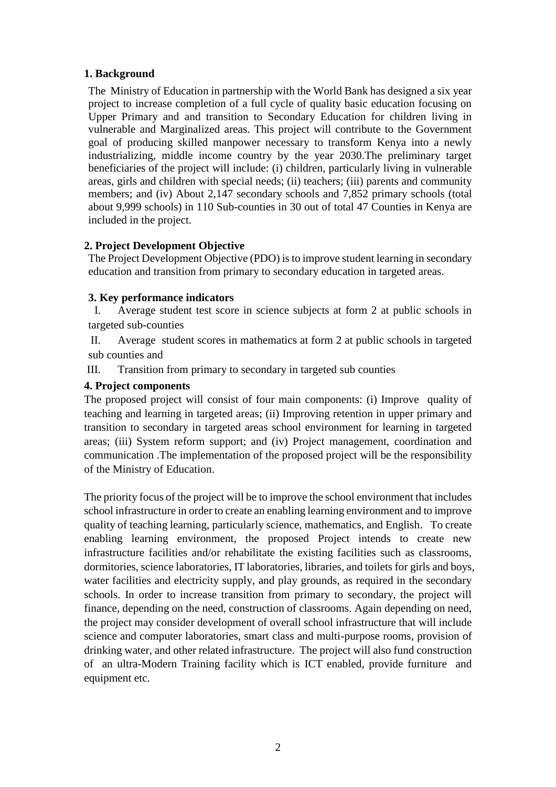#### **1. Background**

The Ministry of Education in partnership with the World Bank has designed a six year project to increase completion of a full cycle of quality basic education focusing on Upper Primary and and transition to Secondary Education for children living in vulnerable and Marginalized areas. This project will contribute to the Government goal of producing skilled manpower necessary to transform Kenya into a newly industrializing, middle income country by the year 2030.The preliminary target beneficiaries of the project will include: (i) children, particularly living in vulnerable areas, girls and children with special needs; (ii) teachers; (iii) parents and community members; and (iv) About 2,147 secondary schools and 7,852 primary schools (total about 9,999 schools) in 110 Sub-counties in 30 out of total 47 Counties in Kenya are included in the project.

#### **2. Project Development Objective**

The Project Development Objective (PDO) is to improve student learning in secondary education and transition from primary to secondary education in targeted areas.

#### **3. Key performance indicators**

I. Average student test score in science subjects at form 2 at public schools in targeted sub-counties

II. Average student scores in mathematics at form 2 at public schools in targeted sub counties and

III. Transition from primary to secondary in targeted sub counties

#### **4. Project components**

The proposed project will consist of four main components: (i) Improve quality of teaching and learning in targeted areas; (ii) Improving retention in upper primary and transition to secondary in targeted areas school environment for learning in targeted areas; (iii) System reform support; and (iv) Project management, coordination and communication .The implementation of the proposed project will be the responsibility of the Ministry of Education.

The priority focus of the project will be to improve the school environment that includes school infrastructure in order to create an enabling learning environment and to improve quality of teaching learning, particularly science, mathematics, and English. To create enabling learning environment, the proposed Project intends to create new infrastructure facilities and/or rehabilitate the existing facilities such as classrooms, dormitories, science laboratories, IT laboratories, libraries, and toilets for girls and boys, water facilities and electricity supply, and play grounds, as required in the secondary schools. In order to increase transition from primary to secondary, the project will finance, depending on the need, construction of classrooms. Again depending on need, the project may consider development of overall school infrastructure that will include science and computer laboratories, smart class and multi-purpose rooms, provision of drinking water, and other related infrastructure. The project will also fund construction of an ultra-Modern Training facility which is ICT enabled, provide furniture and equipment etc.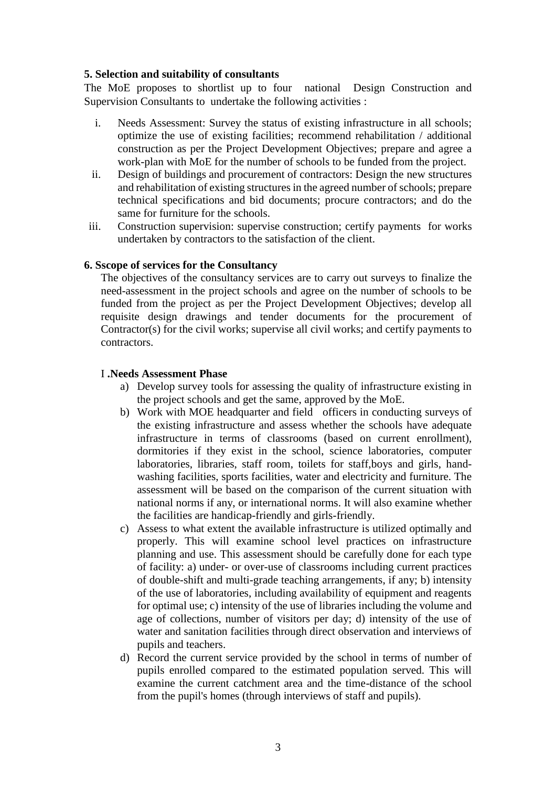#### **5. Selection and suitability of consultants**

The MoE proposes to shortlist up to four national Design Construction and Supervision Consultants to undertake the following activities :

- i. Needs Assessment: Survey the status of existing infrastructure in all schools; optimize the use of existing facilities; recommend rehabilitation / additional construction as per the Project Development Objectives; prepare and agree a work-plan with MoE for the number of schools to be funded from the project.
- ii. Design of buildings and procurement of contractors: Design the new structures and rehabilitation of existing structures in the agreed number of schools; prepare technical specifications and bid documents; procure contractors; and do the same for furniture for the schools.
- iii. Construction supervision: supervise construction; certify payments for works undertaken by contractors to the satisfaction of the client.

#### **6. Sscope of services for the Consultancy**

The objectives of the consultancy services are to carry out surveys to finalize the need-assessment in the project schools and agree on the number of schools to be funded from the project as per the Project Development Objectives; develop all requisite design drawings and tender documents for the procurement of Contractor(s) for the civil works; supervise all civil works; and certify payments to contractors.

#### I **.Needs Assessment Phase**

- a) Develop survey tools for assessing the quality of infrastructure existing in the project schools and get the same, approved by the MoE.
- b) Work with MOE headquarter and field officers in conducting surveys of the existing infrastructure and assess whether the schools have adequate infrastructure in terms of classrooms (based on current enrollment), dormitories if they exist in the school, science laboratories, computer laboratories, libraries, staff room, toilets for staff,boys and girls, handwashing facilities, sports facilities, water and electricity and furniture. The assessment will be based on the comparison of the current situation with national norms if any, or international norms. It will also examine whether the facilities are handicap-friendly and girls-friendly.
- c) Assess to what extent the available infrastructure is utilized optimally and properly. This will examine school level practices on infrastructure planning and use. This assessment should be carefully done for each type of facility: a) under- or over-use of classrooms including current practices of double-shift and multi-grade teaching arrangements, if any; b) intensity of the use of laboratories, including availability of equipment and reagents for optimal use; c) intensity of the use of libraries including the volume and age of collections, number of visitors per day; d) intensity of the use of water and sanitation facilities through direct observation and interviews of pupils and teachers.
- d) Record the current service provided by the school in terms of number of pupils enrolled compared to the estimated population served. This will examine the current catchment area and the time-distance of the school from the pupil's homes (through interviews of staff and pupils).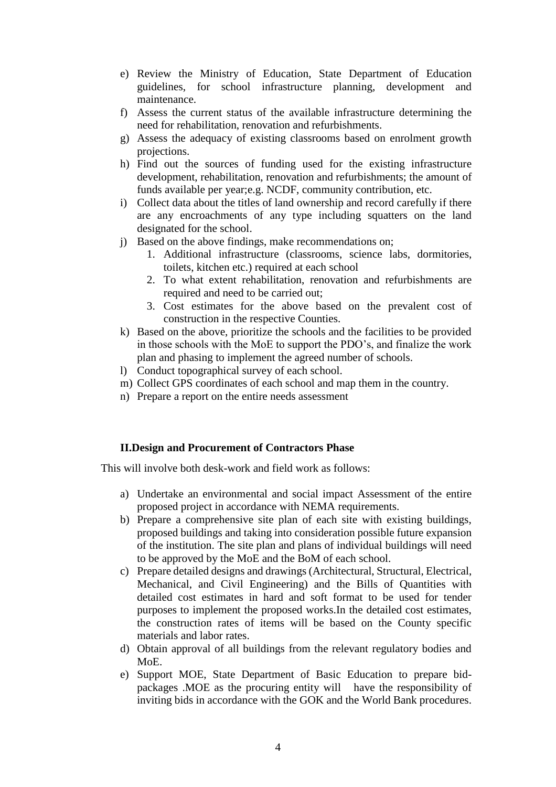- e) Review the Ministry of Education, State Department of Education guidelines, for school infrastructure planning, development and maintenance.
- f) Assess the current status of the available infrastructure determining the need for rehabilitation, renovation and refurbishments.
- g) Assess the adequacy of existing classrooms based on enrolment growth projections.
- h) Find out the sources of funding used for the existing infrastructure development, rehabilitation, renovation and refurbishments; the amount of funds available per year;e.g. NCDF, community contribution, etc.
- i) Collect data about the titles of land ownership and record carefully if there are any encroachments of any type including squatters on the land designated for the school.
- j) Based on the above findings, make recommendations on;
	- 1. Additional infrastructure (classrooms, science labs, dormitories, toilets, kitchen etc.) required at each school
	- 2. To what extent rehabilitation, renovation and refurbishments are required and need to be carried out;
	- 3. Cost estimates for the above based on the prevalent cost of construction in the respective Counties.
- k) Based on the above, prioritize the schools and the facilities to be provided in those schools with the MoE to support the PDO's, and finalize the work plan and phasing to implement the agreed number of schools.
- l) Conduct topographical survey of each school.
- m) Collect GPS coordinates of each school and map them in the country.
- n) Prepare a report on the entire needs assessment

#### **II.Design and Procurement of Contractors Phase**

This will involve both desk-work and field work as follows:

- a) Undertake an environmental and social impact Assessment of the entire proposed project in accordance with NEMA requirements.
- b) Prepare a comprehensive site plan of each site with existing buildings, proposed buildings and taking into consideration possible future expansion of the institution. The site plan and plans of individual buildings will need to be approved by the MoE and the BoM of each school.
- c) Prepare detailed designs and drawings (Architectural, Structural, Electrical, Mechanical, and Civil Engineering) and the Bills of Quantities with detailed cost estimates in hard and soft format to be used for tender purposes to implement the proposed works.In the detailed cost estimates, the construction rates of items will be based on the County specific materials and labor rates.
- d) Obtain approval of all buildings from the relevant regulatory bodies and MoE.
- e) Support MOE, State Department of Basic Education to prepare bidpackages .MOE as the procuring entity will have the responsibility of inviting bids in accordance with the GOK and the World Bank procedures.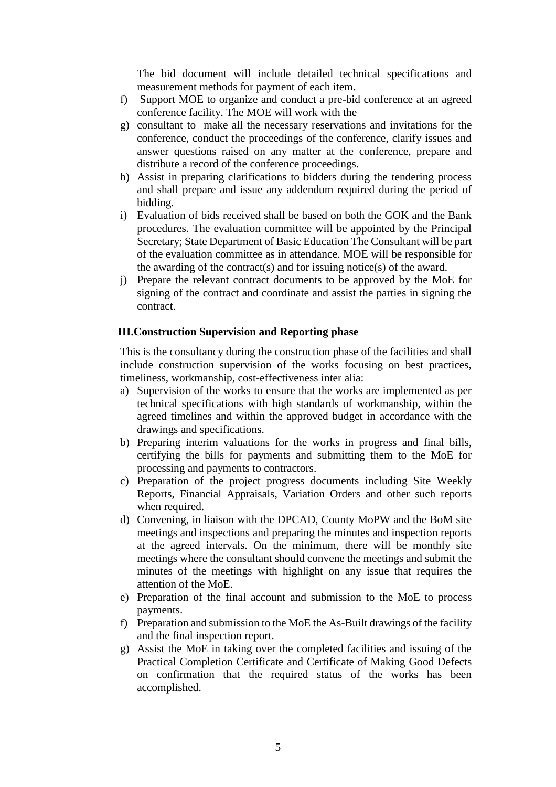The bid document will include detailed technical specifications and measurement methods for payment of each item.

- f) Support MOE to organize and conduct a pre-bid conference at an agreed conference facility. The MOE will work with the
- g) consultant to make all the necessary reservations and invitations for the conference, conduct the proceedings of the conference, clarify issues and answer questions raised on any matter at the conference, prepare and distribute a record of the conference proceedings.
- h) Assist in preparing clarifications to bidders during the tendering process and shall prepare and issue any addendum required during the period of bidding.
- i) Evaluation of bids received shall be based on both the GOK and the Bank procedures. The evaluation committee will be appointed by the Principal Secretary; State Department of Basic Education The Consultant will be part of the evaluation committee as in attendance. MOE will be responsible for the awarding of the contract(s) and for issuing notice(s) of the award.
- j) Prepare the relevant contract documents to be approved by the MoE for signing of the contract and coordinate and assist the parties in signing the contract.

#### **III.Construction Supervision and Reporting phase**

This is the consultancy during the construction phase of the facilities and shall include construction supervision of the works focusing on best practices, timeliness, workmanship, cost-effectiveness inter alia:

- a) Supervision of the works to ensure that the works are implemented as per technical specifications with high standards of workmanship, within the agreed timelines and within the approved budget in accordance with the drawings and specifications.
- b) Preparing interim valuations for the works in progress and final bills, certifying the bills for payments and submitting them to the MoE for processing and payments to contractors.
- c) Preparation of the project progress documents including Site Weekly Reports, Financial Appraisals, Variation Orders and other such reports when required.
- d) Convening, in liaison with the DPCAD, County MoPW and the BoM site meetings and inspections and preparing the minutes and inspection reports at the agreed intervals. On the minimum, there will be monthly site meetings where the consultant should convene the meetings and submit the minutes of the meetings with highlight on any issue that requires the attention of the MoE.
- e) Preparation of the final account and submission to the MoE to process payments.
- f) Preparation and submission to the MoE the As-Built drawings of the facility and the final inspection report.
- g) Assist the MoE in taking over the completed facilities and issuing of the Practical Completion Certificate and Certificate of Making Good Defects on confirmation that the required status of the works has been accomplished.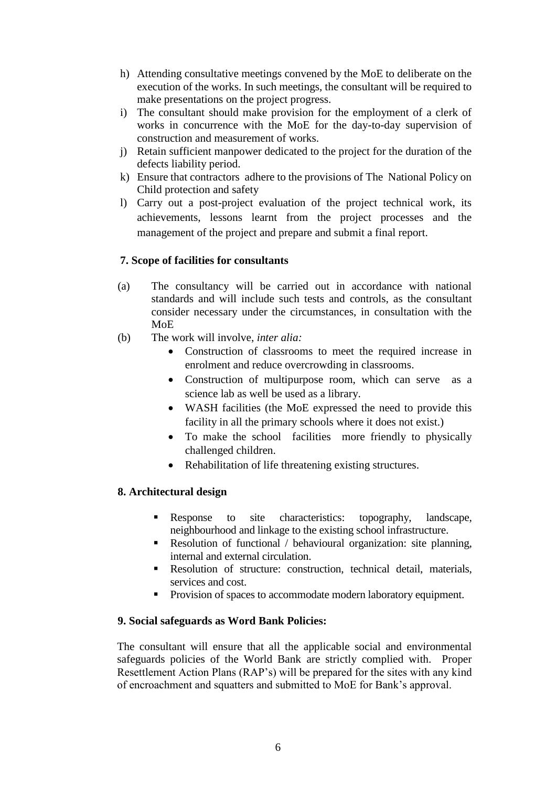- h) Attending consultative meetings convened by the MoE to deliberate on the execution of the works. In such meetings, the consultant will be required to make presentations on the project progress.
- i) The consultant should make provision for the employment of a clerk of works in concurrence with the MoE for the day-to-day supervision of construction and measurement of works.
- j) Retain sufficient manpower dedicated to the project for the duration of the defects liability period.
- k) Ensure that contractors adhere to the provisions of The National Policy on Child protection and safety
- l) Carry out a post-project evaluation of the project technical work, its achievements, lessons learnt from the project processes and the management of the project and prepare and submit a final report.

#### **7. Scope of facilities for consultants**

- (a) The consultancy will be carried out in accordance with national standards and will include such tests and controls, as the consultant consider necessary under the circumstances, in consultation with the MoE
- (b) The work will involve, *inter alia:*
	- Construction of classrooms to meet the required increase in enrolment and reduce overcrowding in classrooms.
	- Construction of multipurpose room, which can serve as a science lab as well be used as a library.
	- WASH facilities (the MoE expressed the need to provide this facility in all the primary schools where it does not exist.)
	- To make the school facilities more friendly to physically challenged children.
	- Rehabilitation of life threatening existing structures.

#### **8. Architectural design**

- Response to site characteristics: topography, landscape, neighbourhood and linkage to the existing school infrastructure.
- Resolution of functional / behavioural organization: site planning, internal and external circulation.
- Resolution of structure: construction, technical detail, materials, services and cost.
- **Provision of spaces to accommodate modern laboratory equipment.**

#### **9. Social safeguards as Word Bank Policies:**

The consultant will ensure that all the applicable social and environmental safeguards policies of the World Bank are strictly complied with. Proper Resettlement Action Plans (RAP's) will be prepared for the sites with any kind of encroachment and squatters and submitted to MoE for Bank's approval.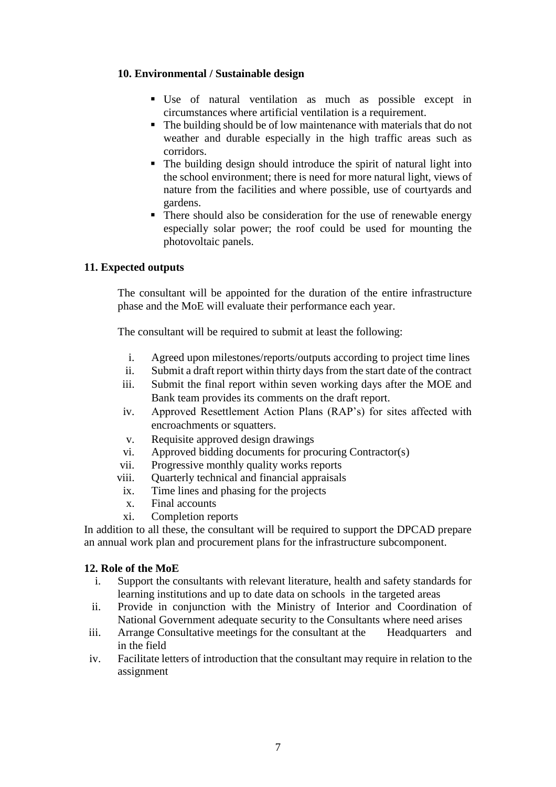#### **10. Environmental / Sustainable design**

- Use of natural ventilation as much as possible except in circumstances where artificial ventilation is a requirement.
- The building should be of low maintenance with materials that do not weather and durable especially in the high traffic areas such as corridors.
- The building design should introduce the spirit of natural light into the school environment; there is need for more natural light, views of nature from the facilities and where possible, use of courtyards and gardens.
- There should also be consideration for the use of renewable energy especially solar power; the roof could be used for mounting the photovoltaic panels.

#### **11. Expected outputs**

The consultant will be appointed for the duration of the entire infrastructure phase and the MoE will evaluate their performance each year.

The consultant will be required to submit at least the following:

- i. Agreed upon milestones/reports/outputs according to project time lines
- ii. Submit a draft report within thirty days from the start date of the contract
- iii. Submit the final report within seven working days after the MOE and Bank team provides its comments on the draft report.
- iv. Approved Resettlement Action Plans (RAP's) for sites affected with encroachments or squatters.
- v. Requisite approved design drawings
- vi. Approved bidding documents for procuring Contractor(s)
- vii. Progressive monthly quality works reports
- viii. Quarterly technical and financial appraisals
	- ix. Time lines and phasing for the projects
	- x. Final accounts
- xi. Completion reports

In addition to all these, the consultant will be required to support the DPCAD prepare an annual work plan and procurement plans for the infrastructure subcomponent.

#### **12. Role of the MoE**

- i. Support the consultants with relevant literature, health and safety standards for learning institutions and up to date data on schools in the targeted areas
- ii. Provide in conjunction with the Ministry of Interior and Coordination of National Government adequate security to the Consultants where need arises
- iii. Arrange Consultative meetings for the consultant at the Headquarters and in the field
- iv. Facilitate letters of introduction that the consultant may require in relation to the assignment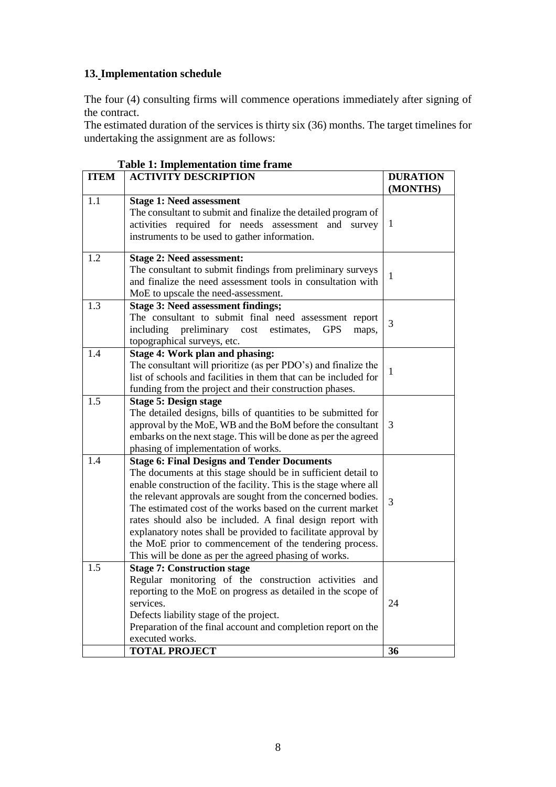## **13. Implementation schedule**

The four (4) consulting firms will commence operations immediately after signing of the contract.

The estimated duration of the services is thirty six (36) months. The target timelines for undertaking the assignment are as follows:

| <b>ITEM</b> | тале т. пирешенации ине наше<br><b>ACTIVITY DESCRIPTION</b><br><b>DURATION</b>                                                                                                                                                                                                                                                                                                                                                                                                                                                                                           |          |  |  |  |
|-------------|--------------------------------------------------------------------------------------------------------------------------------------------------------------------------------------------------------------------------------------------------------------------------------------------------------------------------------------------------------------------------------------------------------------------------------------------------------------------------------------------------------------------------------------------------------------------------|----------|--|--|--|
|             |                                                                                                                                                                                                                                                                                                                                                                                                                                                                                                                                                                          | (MONTHS) |  |  |  |
| 1.1         | <b>Stage 1: Need assessment</b><br>The consultant to submit and finalize the detailed program of<br>activities required for needs assessment and<br>survey<br>instruments to be used to gather information.                                                                                                                                                                                                                                                                                                                                                              | 1        |  |  |  |
| 1.2         | <b>Stage 2: Need assessment:</b><br>The consultant to submit findings from preliminary surveys<br>and finalize the need assessment tools in consultation with<br>MoE to upscale the need-assessment.                                                                                                                                                                                                                                                                                                                                                                     | 1        |  |  |  |
| 1.3         | <b>Stage 3: Need assessment findings;</b><br>The consultant to submit final need assessment report<br>including<br>preliminary cost estimates,<br><b>GPS</b><br>maps,<br>topographical surveys, etc.                                                                                                                                                                                                                                                                                                                                                                     | 3        |  |  |  |
| 1.4         | Stage 4: Work plan and phasing:<br>The consultant will prioritize (as per PDO's) and finalize the<br>list of schools and facilities in them that can be included for<br>funding from the project and their construction phases.                                                                                                                                                                                                                                                                                                                                          | 1        |  |  |  |
| 1.5         | <b>Stage 5: Design stage</b><br>The detailed designs, bills of quantities to be submitted for<br>approval by the MoE, WB and the BoM before the consultant<br>embarks on the next stage. This will be done as per the agreed<br>phasing of implementation of works.                                                                                                                                                                                                                                                                                                      | 3        |  |  |  |
| 1.4         | <b>Stage 6: Final Designs and Tender Documents</b><br>The documents at this stage should be in sufficient detail to<br>enable construction of the facility. This is the stage where all<br>the relevant approvals are sought from the concerned bodies.<br>The estimated cost of the works based on the current market<br>rates should also be included. A final design report with<br>explanatory notes shall be provided to facilitate approval by<br>the MoE prior to commencement of the tendering process.<br>This will be done as per the agreed phasing of works. | 3        |  |  |  |
| 1.5         | <b>Stage 7: Construction stage</b><br>Regular monitoring of the construction activities and<br>reporting to the MoE on progress as detailed in the scope of<br>services.<br>Defects liability stage of the project.<br>Preparation of the final account and completion report on the<br>executed works.                                                                                                                                                                                                                                                                  | 24       |  |  |  |
|             | <b>TOTAL PROJECT</b>                                                                                                                                                                                                                                                                                                                                                                                                                                                                                                                                                     | 36       |  |  |  |

|  | <b>Table 1: Implementation time frame</b> |  |
|--|-------------------------------------------|--|
|--|-------------------------------------------|--|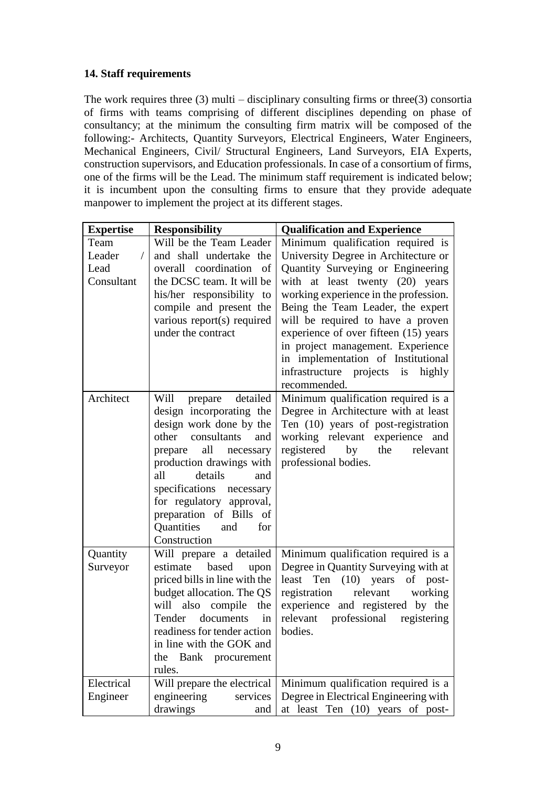### **14. Staff requirements**

The work requires three  $(3)$  multi – disciplinary consulting firms or three  $(3)$  consortia of firms with teams comprising of different disciplines depending on phase of consultancy; at the minimum the consulting firm matrix will be composed of the following:- Architects, Quantity Surveyors, Electrical Engineers, Water Engineers, Mechanical Engineers, Civil/ Structural Engineers, Land Surveyors, EIA Experts, construction supervisors, and Education professionals. In case of a consortium of firms, one of the firms will be the Lead. The minimum staff requirement is indicated below; it is incumbent upon the consulting firms to ensure that they provide adequate manpower to implement the project at its different stages.

| <b>Expertise</b>                                | <b>Responsibility</b>                                 | <b>Qualification and Experience</b>                         |  |  |
|-------------------------------------------------|-------------------------------------------------------|-------------------------------------------------------------|--|--|
| Team                                            | Will be the Team Leader                               | Minimum qualification required is                           |  |  |
| Leader<br>and shall undertake the<br>$\sqrt{2}$ |                                                       | University Degree in Architecture or                        |  |  |
| Lead                                            | overall coordination of                               | Quantity Surveying or Engineering                           |  |  |
| Consultant                                      | the DCSC team. It will be                             | with at least twenty (20) years                             |  |  |
|                                                 | his/her responsibility to                             | working experience in the profession.                       |  |  |
|                                                 | compile and present the                               | Being the Team Leader, the expert                           |  |  |
|                                                 | various report(s) required                            | will be required to have a proven                           |  |  |
|                                                 | under the contract                                    | experience of over fifteen (15) years                       |  |  |
|                                                 |                                                       | in project management. Experience                           |  |  |
|                                                 |                                                       | in implementation of Institutional                          |  |  |
|                                                 |                                                       | infrastructure projects is highly                           |  |  |
|                                                 |                                                       | recommended.                                                |  |  |
| Architect                                       | detailed<br>Will<br>prepare                           | Minimum qualification required is a                         |  |  |
|                                                 | design incorporating the                              | Degree in Architecture with at least                        |  |  |
|                                                 | design work done by the                               | Ten (10) years of post-registration                         |  |  |
|                                                 | consultants<br>other<br>and                           | working relevant experience and                             |  |  |
|                                                 | all necessary<br>prepare                              | registered<br>by<br>the<br>relevant                         |  |  |
|                                                 | production drawings with                              | professional bodies.                                        |  |  |
|                                                 | details<br>all<br>and                                 |                                                             |  |  |
|                                                 | specifications necessary                              |                                                             |  |  |
|                                                 | for regulatory approval,                              |                                                             |  |  |
|                                                 | preparation of Bills of                               |                                                             |  |  |
|                                                 | Quantities<br>and<br>for                              |                                                             |  |  |
|                                                 | Construction                                          |                                                             |  |  |
| Quantity                                        | Will prepare a detailed                               | Minimum qualification required is a                         |  |  |
| Surveyor                                        | estimate based<br>upon                                | Degree in Quantity Surveying with at                        |  |  |
|                                                 | priced bills in line with the                         | Ten<br>$(10)$ years<br>least<br>of post-<br>relevant        |  |  |
|                                                 | budget allocation. The QS<br>will also compile<br>the | registration<br>working<br>experience and registered by the |  |  |
|                                                 | Tender documents<br>in                                | professional<br>registering<br>relevant                     |  |  |
|                                                 | readiness for tender action                           | bodies.                                                     |  |  |
|                                                 | in line with the GOK and                              |                                                             |  |  |
|                                                 | Bank procurement<br>the                               |                                                             |  |  |
|                                                 | rules.                                                |                                                             |  |  |
| Electrical                                      | Will prepare the electrical                           | Minimum qualification required is a                         |  |  |
| Engineer                                        | engineering<br>services                               | Degree in Electrical Engineering with                       |  |  |
|                                                 | drawings<br>and                                       | at least Ten (10) years of post-                            |  |  |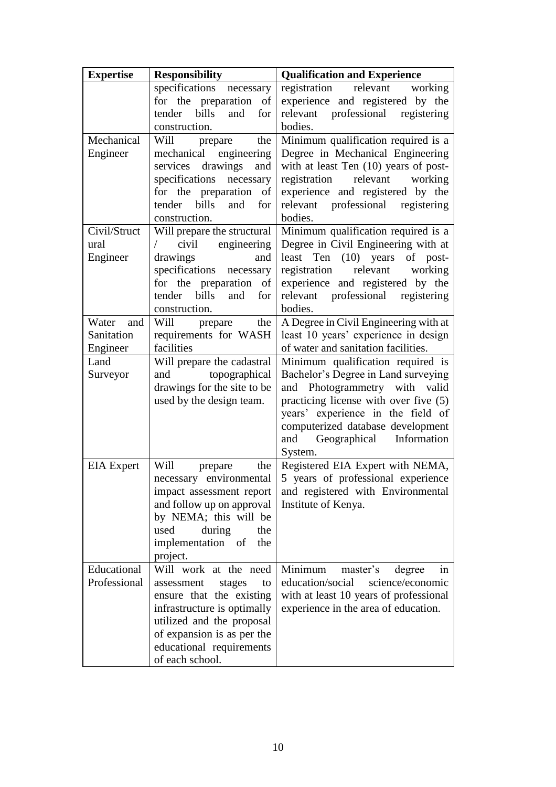| <b>Expertise</b>  | <b>Responsibility</b>                                  | <b>Qualification and Experience</b>                                        |  |  |
|-------------------|--------------------------------------------------------|----------------------------------------------------------------------------|--|--|
|                   | specifications<br>necessary                            | registration<br>relevant<br>working                                        |  |  |
|                   | for the preparation of                                 | experience and registered by the                                           |  |  |
|                   | bills<br>tender<br>and<br>for                          | relevant professional<br>registering                                       |  |  |
|                   | construction.                                          | bodies.                                                                    |  |  |
| Mechanical        | Will<br>the<br>prepare                                 | Minimum qualification required is a                                        |  |  |
| Engineer          | mechanical engineering                                 | Degree in Mechanical Engineering                                           |  |  |
|                   | drawings<br>services<br>and                            | with at least Ten $(10)$ years of post-                                    |  |  |
|                   | specifications<br>necessary                            | relevant<br>registration<br>working                                        |  |  |
|                   | for the preparation of                                 | experience and registered by the                                           |  |  |
|                   | bills<br>tender<br>and<br>for                          | relevant professional registering<br>bodies.                               |  |  |
| Civil/Struct      | construction.                                          |                                                                            |  |  |
| ural              | Will prepare the structural<br>civil<br>engineering    | Minimum qualification required is a<br>Degree in Civil Engineering with at |  |  |
| Engineer          | drawings<br>and                                        | $(10)$ years<br>least Ten<br>of post-                                      |  |  |
|                   | specifications necessary                               | relevant<br>registration<br>working                                        |  |  |
|                   | for the preparation of                                 | experience and registered by the                                           |  |  |
|                   | bills<br>and<br>tender<br>for                          | relevant professional registering                                          |  |  |
|                   | construction.                                          | bodies.                                                                    |  |  |
| Water<br>and      | Will prepare<br>the                                    | A Degree in Civil Engineering with at                                      |  |  |
| Sanitation        | requirements for WASH                                  | least 10 years' experience in design                                       |  |  |
| Engineer          | facilities                                             | of water and sanitation facilities.                                        |  |  |
| Land              | Will prepare the cadastral                             | Minimum qualification required is                                          |  |  |
| Surveyor          | and topographical                                      | Bachelor's Degree in Land surveying                                        |  |  |
|                   | drawings for the site to be                            | and Photogrammetry with valid                                              |  |  |
|                   | used by the design team.                               | practicing license with over five (5)                                      |  |  |
|                   |                                                        | years' experience in the field of                                          |  |  |
|                   |                                                        | computerized database development                                          |  |  |
|                   |                                                        | and Geographical Information<br>System.                                    |  |  |
| <b>EIA</b> Expert | Will<br>the<br>prepare                                 | Registered EIA Expert with NEMA,                                           |  |  |
|                   | necessary environmental                                | 5 years of professional experience                                         |  |  |
|                   | impact assessment report                               | and registered with Environmental                                          |  |  |
|                   | and follow up on approval                              | Institute of Kenya.                                                        |  |  |
|                   | by NEMA; this will be                                  |                                                                            |  |  |
|                   | used<br>during<br>the                                  |                                                                            |  |  |
|                   | implementation<br>of<br>the                            |                                                                            |  |  |
|                   | project.                                               |                                                                            |  |  |
| Educational       | Will work at the need                                  | Minimum<br>master's<br>degree<br>in                                        |  |  |
| Professional      | assessment<br>stages<br>to                             | education/social<br>science/economic                                       |  |  |
|                   | ensure that the existing                               | with at least 10 years of professional                                     |  |  |
|                   | infrastructure is optimally                            | experience in the area of education.                                       |  |  |
|                   | utilized and the proposal                              |                                                                            |  |  |
|                   | of expansion is as per the<br>educational requirements |                                                                            |  |  |
|                   | of each school.                                        |                                                                            |  |  |
|                   |                                                        |                                                                            |  |  |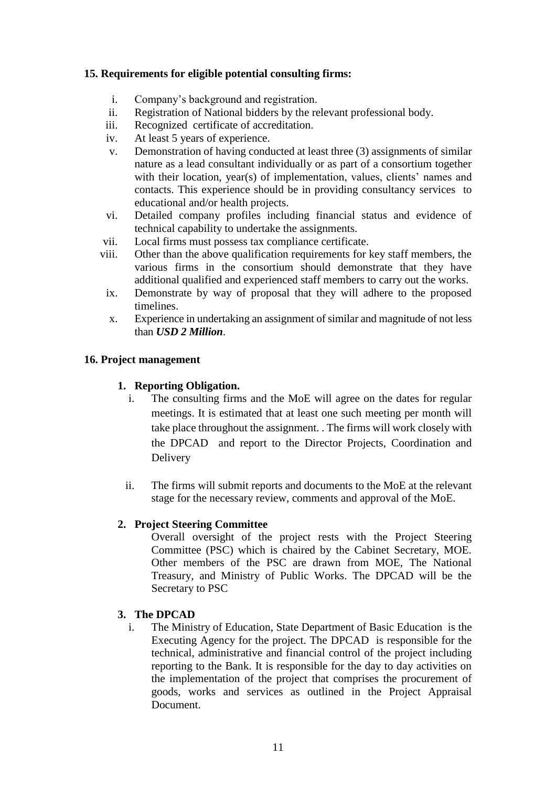#### **15. Requirements for eligible potential consulting firms:**

- i. Company's background and registration.
- ii. Registration of National bidders by the relevant professional body.
- iii. Recognized certificate of accreditation.
- iv. At least 5 years of experience.
- v. Demonstration of having conducted at least three (3) assignments of similar nature as a lead consultant individually or as part of a consortium together with their location, year(s) of implementation, values, clients' names and contacts. This experience should be in providing consultancy services to educational and/or health projects.
- vi. Detailed company profiles including financial status and evidence of technical capability to undertake the assignments.
- vii. Local firms must possess tax compliance certificate.
- viii. Other than the above qualification requirements for key staff members, the various firms in the consortium should demonstrate that they have additional qualified and experienced staff members to carry out the works.
	- ix. Demonstrate by way of proposal that they will adhere to the proposed timelines.
	- x. Experience in undertaking an assignment of similar and magnitude of not less than *USD 2 Million*.

#### **16. Project management**

#### **1. Reporting Obligation.**

- i. The consulting firms and the MoE will agree on the dates for regular meetings. It is estimated that at least one such meeting per month will take place throughout the assignment. . The firms will work closely with the DPCAD and report to the Director Projects, Coordination and Delivery
- ii. The firms will submit reports and documents to the MoE at the relevant stage for the necessary review, comments and approval of the MoE.

#### **2. Project Steering Committee**

Overall oversight of the project rests with the Project Steering Committee (PSC) which is chaired by the Cabinet Secretary, MOE. Other members of the PSC are drawn from MOE, The National Treasury, and Ministry of Public Works. The DPCAD will be the Secretary to PSC

#### **3. The DPCAD**

i. The Ministry of Education, State Department of Basic Education is the Executing Agency for the project. The DPCAD is responsible for the technical, administrative and financial control of the project including reporting to the Bank. It is responsible for the day to day activities on the implementation of the project that comprises the procurement of goods, works and services as outlined in the Project Appraisal Document.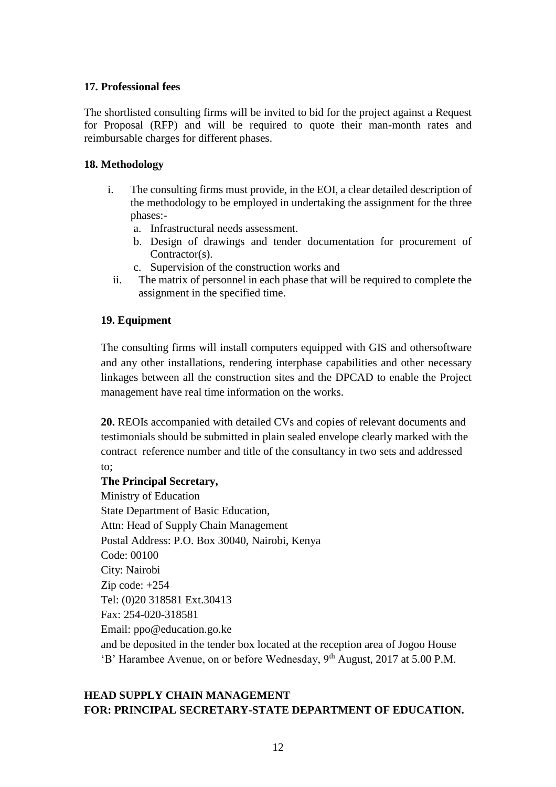#### **17. Professional fees**

The shortlisted consulting firms will be invited to bid for the project against a Request for Proposal (RFP) and will be required to quote their man-month rates and reimbursable charges for different phases.

#### **18. Methodology**

- i. The consulting firms must provide, in the EOI, a clear detailed description of the methodology to be employed in undertaking the assignment for the three phases:
	- a. Infrastructural needs assessment.
	- b. Design of drawings and tender documentation for procurement of Contractor(s).
	- c. Supervision of the construction works and
	- ii. The matrix of personnel in each phase that will be required to complete the assignment in the specified time.

#### **19. Equipment**

The consulting firms will install computers equipped with GIS and othersoftware and any other installations, rendering interphase capabilities and other necessary linkages between all the construction sites and the DPCAD to enable the Project management have real time information on the works.

**20.** REOIs accompanied with detailed CVs and copies of relevant documents and testimonials should be submitted in plain sealed envelope clearly marked with the contract reference number and title of the consultancy in two sets and addressed to;

#### **The Principal Secretary,**

Ministry of Education State Department of Basic Education, Attn: Head of Supply Chain Management Postal Address: P.O. Box 30040, Nairobi, Kenya Code: 00100 City: Nairobi Zip code: +254 Tel: (0)20 318581 Ext.30413 Fax: 254-020-318581 Email: [ppo@education.go.ke](mailto:ppo@education.go.ke) and be deposited in the tender box located at the reception area of Jogoo House 'B' Harambee Avenue, on or before Wednesday, 9<sup>th</sup> August, 2017 at 5.00 P.M.

#### **HEAD SUPPLY CHAIN MANAGEMENT FOR: PRINCIPAL SECRETARY-STATE DEPARTMENT OF EDUCATION.**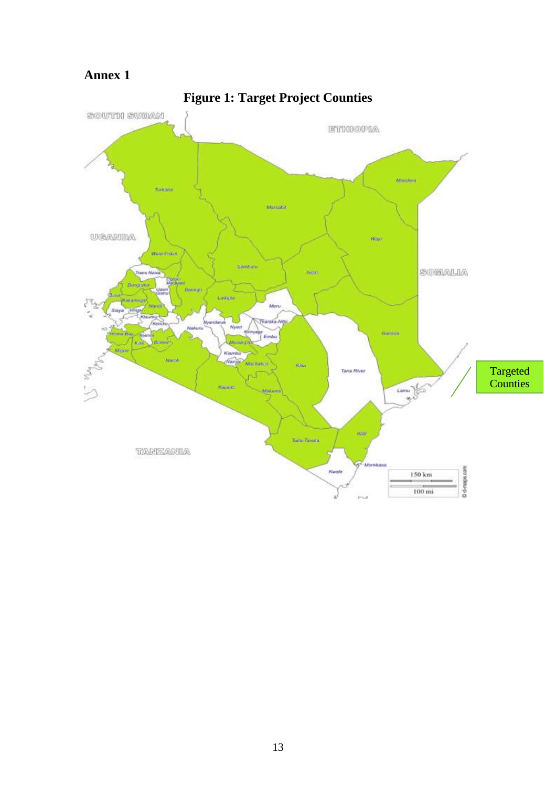## **Annex 1**